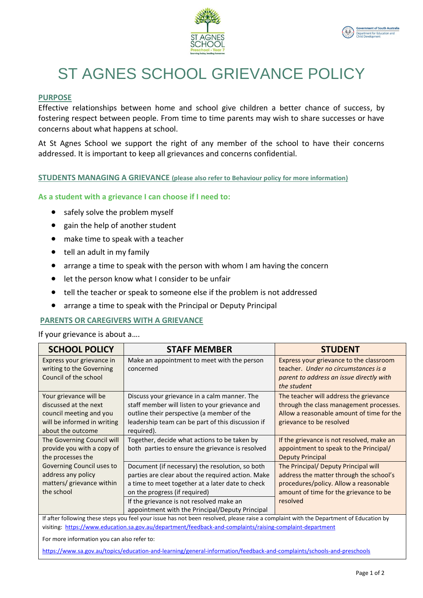



# ST AGNES SCHOOL GRIEVANCE POLICY

# **PURPOSE**

Effective relationships between home and school give children a better chance of success, by fostering respect between people. From time to time parents may wish to share successes or have concerns about what happens at school.

At St Agnes School we support the right of any member of the school to have their concerns addressed. It is important to keep all grievances and concerns confidential.

**STUDENTS MANAGING A GRIEVANCE (please also refer to Behaviour policy for more information)**

# **As a student with a grievance I can choose if I need to:**

- safely solve the problem myself
- gain the help of another student
- make time to speak with a teacher
- tell an adult in my family
- arrange a time to speak with the person with whom I am having the concern
- let the person know what I consider to be unfair
- tell the teacher or speak to someone else if the problem is not addressed
- arrange a time to speak with the Principal or Deputy Principal

#### **PARENTS OR CAREGIVERS WITH A GRIEVANCE**

If your grievance is about a….

| <b>SCHOOL POLICY</b>                                                                                                                   | <b>STAFF MEMBER</b>                               | <b>STUDENT</b>                            |
|----------------------------------------------------------------------------------------------------------------------------------------|---------------------------------------------------|-------------------------------------------|
| Express your grievance in                                                                                                              | Make an appointment to meet with the person       | Express your grievance to the classroom   |
| writing to the Governing                                                                                                               | concerned                                         | teacher. Under no circumstances is a      |
| Council of the school                                                                                                                  |                                                   | parent to address an issue directly with  |
|                                                                                                                                        |                                                   | the student                               |
| Your grievance will be                                                                                                                 | Discuss your grievance in a calm manner. The      | The teacher will address the grievance    |
| discussed at the next                                                                                                                  | staff member will listen to your grievance and    | through the class management processes.   |
| council meeting and you                                                                                                                | outline their perspective (a member of the        | Allow a reasonable amount of time for the |
| will be informed in writing                                                                                                            | leadership team can be part of this discussion if | grievance to be resolved                  |
| about the outcome                                                                                                                      | required).                                        |                                           |
| The Governing Council will                                                                                                             | Together, decide what actions to be taken by      | If the grievance is not resolved, make an |
| provide you with a copy of                                                                                                             | both parties to ensure the grievance is resolved  | appointment to speak to the Principal/    |
| the processes the                                                                                                                      |                                                   | <b>Deputy Principal</b>                   |
| Governing Council uses to                                                                                                              | Document (if necessary) the resolution, so both   | The Principal/ Deputy Principal will      |
| address any policy                                                                                                                     | parties are clear about the required action. Make | address the matter through the school's   |
| matters/ grievance within                                                                                                              | a time to meet together at a later date to check  | procedures/policy. Allow a reasonable     |
| the school                                                                                                                             | on the progress (if required)                     | amount of time for the grievance to be    |
|                                                                                                                                        | If the grievance is not resolved make an          | resolved                                  |
|                                                                                                                                        | appointment with the Principal/Deputy Principal   |                                           |
| If after following these steps you feel your issue has not been resolved, please raise a complaint with the Department of Education by |                                                   |                                           |

visiting: <https://www.education.sa.gov.au/department/feedback-and-complaints/raising-complaint-department>

For more information you can also refer to:

<https://www.sa.gov.au/topics/education-and-learning/general-information/feedback-and-complaints/schools-and-preschools>